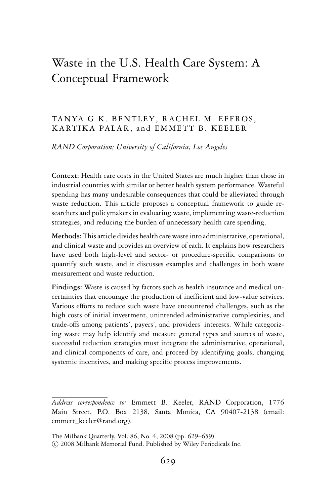# Waste in the U.S. Health Care System: A Conceptual Framework

### TANYA G.K. BENTLEY, RACHEL M. EFFROS, KARTIKA PALAR, and EMMETT B. KEELER

*RAND Corporation; University of California, Los Angeles*

**Context:** Health care costs in the United States are much higher than those in industrial countries with similar or better health system performance. Wasteful spending has many undesirable consequences that could be alleviated through waste reduction. This article proposes a conceptual framework to guide researchers and policymakers in evaluating waste, implementing waste-reduction strategies, and reducing the burden of unnecessary health care spending.

**Methods:** This article divides health care waste into administrative, operational, and clinical waste and provides an overview of each. It explains how researchers have used both high-level and sector- or procedure-specific comparisons to quantify such waste, and it discusses examples and challenges in both waste measurement and waste reduction.

**Findings:** Waste is caused by factors such as health insurance and medical uncertainties that encourage the production of inefficient and low-value services. Various efforts to reduce such waste have encountered challenges, such as the high costs of initial investment, unintended administrative complexities, and trade-offs among patients', payers', and providers' interests. While categorizing waste may help identify and measure general types and sources of waste, successful reduction strategies must integrate the administrative, operational, and clinical components of care, and proceed by identifying goals, changing systemic incentives, and making specific process improvements.

*Address correspondence to:* Emmett B. Keeler, RAND Corporation, 1776 Main Street, P.O. Box 2138, Santa Monica, CA 90407-2138 (email: emmett\_keeler@rand.org).

The Milbank Quarterly, Vol. 86, No. 4, 2008 (pp. 629–659) -c 2008 Milbank Memorial Fund. Published by Wiley Periodicals Inc.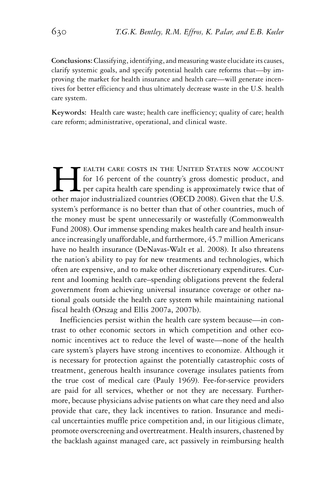**Conclusions:**Classifying, identifying, and measuring waste elucidate its causes, clarify systemic goals, and specify potential health care reforms that—by improving the market for health insurance and health care—will generate incentives for better efficiency and thus ultimately decrease waste in the U.S. health care system.

**Keywords:** Health care waste; health care inefficiency; quality of care; health care reform; administrative, operational, and clinical waste.

EALTH CARE COSTS IN THE UNITED STATES NOW ACCOUNT<br>for 16 percent of the country's gross domestic product, and<br>other maior industrialized countries (OECD 2008). Given that the U.S. for 16 percent of the country's gross domestic product, and per capita health care spending is approximately twice that of other major industrialized countries (OECD 2008). Given that the U.S. system's performance is no better than that of other countries, much of the money must be spent unnecessarily or wastefully (Commonwealth Fund 2008). Our immense spending makes health care and health insurance increasingly unaffordable, and furthermore, 45.7 million Americans have no health insurance (DeNavas-Walt et al. 2008). It also threatens the nation's ability to pay for new treatments and technologies, which often are expensive, and to make other discretionary expenditures. Current and looming health care–spending obligations prevent the federal government from achieving universal insurance coverage or other national goals outside the health care system while maintaining national fiscal health (Orszag and Ellis 2007a, 2007b).

Inefficiencies persist within the health care system because—in contrast to other economic sectors in which competition and other economic incentives act to reduce the level of waste—none of the health care system's players have strong incentives to economize. Although it is necessary for protection against the potentially catastrophic costs of treatment, generous health insurance coverage insulates patients from the true cost of medical care (Pauly 1969). Fee-for-service providers are paid for all services, whether or not they are necessary. Furthermore, because physicians advise patients on what care they need and also provide that care, they lack incentives to ration. Insurance and medical uncertainties muffle price competition and, in our litigious climate, promote overscreening and overtreatment. Health insurers, chastened by the backlash against managed care, act passively in reimbursing health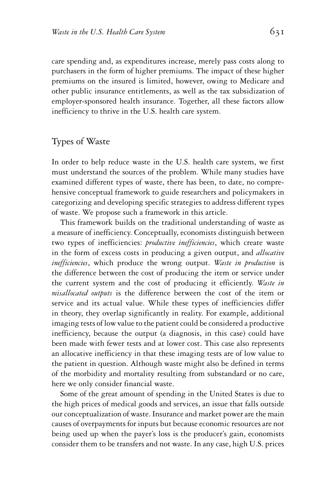care spending and, as expenditures increase, merely pass costs along to purchasers in the form of higher premiums. The impact of these higher premiums on the insured is limited, however, owing to Medicare and other public insurance entitlements, as well as the tax subsidization of employer-sponsored health insurance. Together, all these factors allow inefficiency to thrive in the U.S. health care system.

# Types of Waste

In order to help reduce waste in the U.S. health care system, we first must understand the sources of the problem. While many studies have examined different types of waste, there has been, to date, no comprehensive conceptual framework to guide researchers and policymakers in categorizing and developing specific strategies to address different types of waste. We propose such a framework in this article.

This framework builds on the traditional understanding of waste as a measure of inefficiency. Conceptually, economists distinguish between two types of inefficiencies: *productive inefficiencies*, which create waste in the form of excess costs in producing a given output, and *allocative inefficiencies*, which produce the wrong output. *Waste in production* is the difference between the cost of producing the item or service under the current system and the cost of producing it efficiently. *Waste in misallocated outputs* is the difference between the cost of the item or service and its actual value. While these types of inefficiencies differ in theory, they overlap significantly in reality. For example, additional imaging tests of low value to the patient could be considered a productive inefficiency, because the output (a diagnosis, in this case) could have been made with fewer tests and at lower cost. This case also represents an allocative inefficiency in that these imaging tests are of low value to the patient in question. Although waste might also be defined in terms of the morbidity and mortality resulting from substandard or no care, here we only consider financial waste.

Some of the great amount of spending in the United States is due to the high prices of medical goods and services, an issue that falls outside our conceptualization of waste. Insurance and market power are the main causes of overpayments for inputs but because economic resources are not being used up when the payer's loss is the producer's gain, economists consider them to be transfers and not waste. In any case, high U.S. prices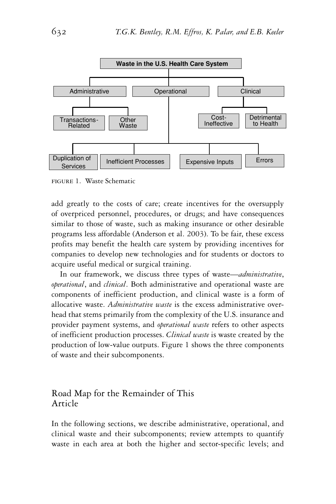

figure 1. Waste Schematic

add greatly to the costs of care; create incentives for the oversupply of overpriced personnel, procedures, or drugs; and have consequences similar to those of waste, such as making insurance or other desirable programs less affordable (Anderson et al. 2003). To be fair, these excess profits may benefit the health care system by providing incentives for companies to develop new technologies and for students or doctors to acquire useful medical or surgical training.

In our framework, we discuss three types of waste—*administrative*, *operational*, and *clinical*. Both administrative and operational waste are components of inefficient production, and clinical waste is a form of allocative waste. *Administrative waste* is the excess administrative overhead that stems primarily from the complexity of the U.S. insurance and provider payment systems, and *operational waste* refers to other aspects of inefficient production processes. *Clinical waste* is waste created by the production of low-value outputs. Figure 1 shows the three components of waste and their subcomponents.

# Road Map for the Remainder of This Article

In the following sections, we describe administrative, operational, and clinical waste and their subcomponents; review attempts to quantify waste in each area at both the higher and sector-specific levels; and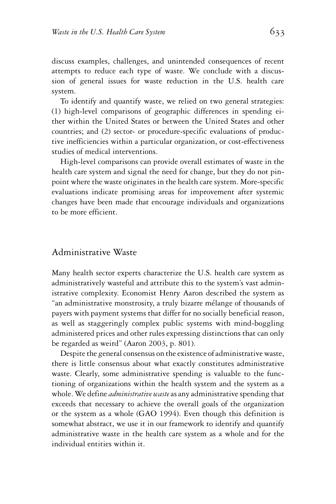discuss examples, challenges, and unintended consequences of recent attempts to reduce each type of waste. We conclude with a discussion of general issues for waste reduction in the U.S. health care system.

To identify and quantify waste, we relied on two general strategies: (1) high-level comparisons of geographic differences in spending either within the United States or between the United States and other countries; and (2) sector- or procedure-specific evaluations of productive inefficiencies within a particular organization, or cost-effectiveness studies of medical interventions.

High-level comparisons can provide overall estimates of waste in the health care system and signal the need for change, but they do not pinpoint where the waste originates in the health care system. More-specific evaluations indicate promising areas for improvement after systemic changes have been made that encourage individuals and organizations to be more efficient.

#### Administrative Waste

Many health sector experts characterize the U.S. health care system as administratively wasteful and attribute this to the system's vast administrative complexity. Economist Henry Aaron described the system as "an administrative monstrosity, a truly bizarre melange of thousands of ´ payers with payment systems that differ for no socially beneficial reason, as well as staggeringly complex public systems with mind-boggling administered prices and other rules expressing distinctions that can only be regarded as weird" (Aaron 2003, p. 801).

Despite the general consensus on the existence of administrative waste, there is little consensus about what exactly constitutes administrative waste. Clearly, some administrative spending is valuable to the functioning of organizations within the health system and the system as a whole.We define *administrative waste*as any administrative spending that exceeds that necessary to achieve the overall goals of the organization or the system as a whole (GAO 1994). Even though this definition is somewhat abstract, we use it in our framework to identify and quantify administrative waste in the health care system as a whole and for the individual entities within it.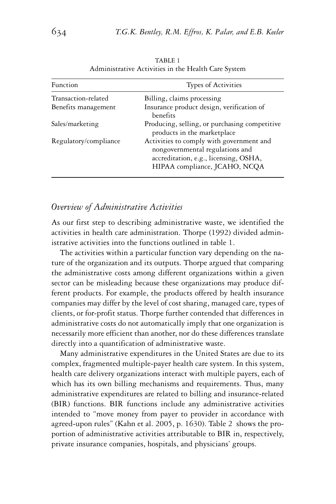| Function              | Types of Activities                                                                                                                                   |
|-----------------------|-------------------------------------------------------------------------------------------------------------------------------------------------------|
| Transaction-related   | Billing, claims processing                                                                                                                            |
| Benefits management   | Insurance product design, verification of<br>benefits                                                                                                 |
| Sales/marketing       | Producing, selling, or purchasing competitive<br>products in the marketplace                                                                          |
| Regulatory/compliance | Activities to comply with government and<br>nongovernmental regulations and<br>accreditation, e.g., licensing, OSHA,<br>HIPAA compliance, JCAHO, NCQA |

TABLE 1 Administrative Activities in the Health Care System

### *Overview of Administrative Activities*

As our first step to describing administrative waste, we identified the activities in health care administration. Thorpe (1992) divided administrative activities into the functions outlined in table 1.

The activities within a particular function vary depending on the nature of the organization and its outputs. Thorpe argued that comparing the administrative costs among different organizations within a given sector can be misleading because these organizations may produce different products. For example, the products offered by health insurance companies may differ by the level of cost sharing, managed care, types of clients, or for-profit status. Thorpe further contended that differences in administrative costs do not automatically imply that one organization is necessarily more efficient than another, nor do these differences translate directly into a quantification of administrative waste.

Many administrative expenditures in the United States are due to its complex, fragmented multiple-payer health care system. In this system, health care delivery organizations interact with multiple payers, each of which has its own billing mechanisms and requirements. Thus, many administrative expenditures are related to billing and insurance-related (BIR) functions. BIR functions include any administrative activities intended to "move money from payer to provider in accordance with agreed-upon rules" (Kahn et al. 2005, p. 1630). Table 2 shows the proportion of administrative activities attributable to BIR in, respectively, private insurance companies, hospitals, and physicians' groups.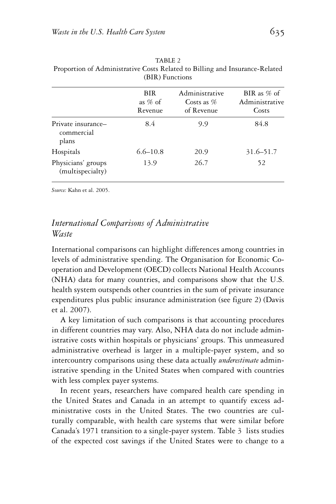|                                           | BIR.<br>as $%$ of<br>Revenue | Administrative<br>Costs as $%$<br>of Revenue | BIR as $%$ of<br>Administrative<br>Costs |
|-------------------------------------------|------------------------------|----------------------------------------------|------------------------------------------|
| Private insurance-<br>commercial<br>plans | 8.4                          | 9.9                                          | 84.8                                     |
| Hospitals                                 | $6.6 - 10.8$                 | 20.9                                         | $31.6 - 51.7$                            |
| Physicians' groups<br>(multispecialty)    | 13.9                         | 26.7                                         | 52                                       |

| TABLE 2                                                                     |
|-----------------------------------------------------------------------------|
| Proportion of Administrative Costs Related to Billing and Insurance-Related |
| (BIR) Functions                                                             |

*Source:* Kahn et al. 2005.

# *International Comparisons of Administrative Waste*

International comparisons can highlight differences among countries in levels of administrative spending. The Organisation for Economic Cooperation and Development (OECD) collects National Health Accounts (NHA) data for many countries, and comparisons show that the U.S. health system outspends other countries in the sum of private insurance expenditures plus public insurance administration (see figure 2) (Davis et al. 2007).

A key limitation of such comparisons is that accounting procedures in different countries may vary. Also, NHA data do not include administrative costs within hospitals or physicians' groups. This unmeasured administrative overhead is larger in a multiple-payer system, and so intercountry comparisons using these data actually *underestimate* administrative spending in the United States when compared with countries with less complex payer systems.

In recent years, researchers have compared health care spending in the United States and Canada in an attempt to quantify excess administrative costs in the United States. The two countries are culturally comparable, with health care systems that were similar before Canada's 1971 transition to a single-payer system. Table 3 lists studies of the expected cost savings if the United States were to change to a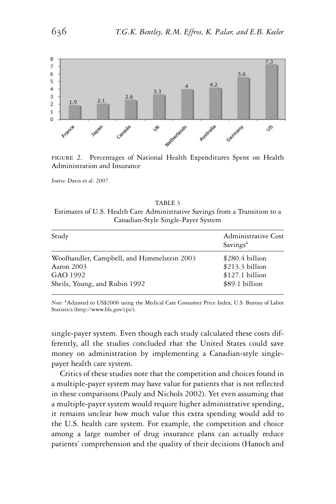

figure 2. Percentages of National Health Expenditures Spent on Health Administration and Insurance

*Source:* Davis et al. 2007.

TABLE 3 Estimates of U.S. Health Care Administrative Savings from a Transition to a Canadian-Style Single-Payer System

| Study                                       | <b>Administrative Cost</b><br>Savings <sup>a</sup> |
|---------------------------------------------|----------------------------------------------------|
| Woolhandler, Campbell, and Himmelstein 2003 | \$280.4 billion                                    |
| Aaron 2003                                  | \$213.3 billion                                    |
| GAO 1992                                    | \$127.1 billion                                    |
| Sheils, Young, and Rubin 1992               | \$89.1 billion                                     |

Note: <sup>a</sup> Adjusted to US\$2006 using the Medical Care Consumer Price Index, U.S. Bureau of Labor Statistics (http://www.bls.gov/cpi/).

single-payer system. Even though each study calculated these costs differently, all the studies concluded that the United States could save money on administration by implementing a Canadian-style singlepayer health care system.

Critics of these studies note that the competition and choices found in a multiple-payer system may have value for patients that is not reflected in these comparisons (Pauly and Nichols 2002). Yet even assuming that a multiple-payer system would require higher administrative spending, it remains unclear how much value this extra spending would add to the U.S. health care system. For example, the competition and choice among a large number of drug insurance plans can actually reduce patients' comprehension and the quality of their decisions (Hanoch and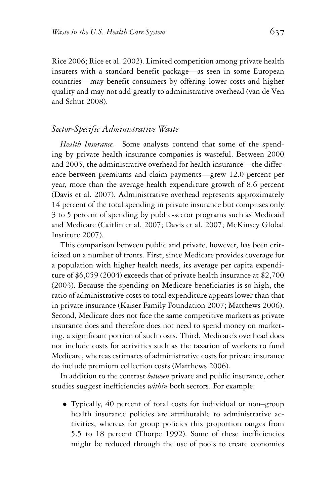Rice 2006; Rice et al. 2002). Limited competition among private health insurers with a standard benefit package—as seen in some European countries—may benefit consumers by offering lower costs and higher quality and may not add greatly to administrative overhead (van de Ven and Schut 2008).

### *Sector-Specific Administrative Waste*

*Health Insurance.* Some analysts contend that some of the spending by private health insurance companies is wasteful. Between 2000 and 2005, the administrative overhead for health insurance—the difference between premiums and claim payments—grew 12.0 percent per year, more than the average health expenditure growth of 8.6 percent (Davis et al. 2007). Administrative overhead represents approximately 14 percent of the total spending in private insurance but comprises only 3 to 5 percent of spending by public-sector programs such as Medicaid and Medicare (Caitlin et al. 2007; Davis et al. 2007; McKinsey Global Institute 2007).

This comparison between public and private, however, has been criticized on a number of fronts. First, since Medicare provides coverage for a population with higher health needs, its average per capita expenditure of \$6,059 (2004) exceeds that of private health insurance at \$2,700 (2003). Because the spending on Medicare beneficiaries is so high, the ratio of administrative costs to total expenditure appears lower than that in private insurance (Kaiser Family Foundation 2007; Matthews 2006). Second, Medicare does not face the same competitive markets as private insurance does and therefore does not need to spend money on marketing, a significant portion of such costs. Third, Medicare's overhead does not include costs for activities such as the taxation of workers to fund Medicare, whereas estimates of administrative costs for private insurance do include premium collection costs (Matthews 2006).

In addition to the contrast *between* private and public insurance, other studies suggest inefficiencies *within* both sectors. For example:

• Typically, 40 percent of total costs for individual or non–group health insurance policies are attributable to administrative activities, whereas for group policies this proportion ranges from 5.5 to 18 percent (Thorpe 1992). Some of these inefficiencies might be reduced through the use of pools to create economies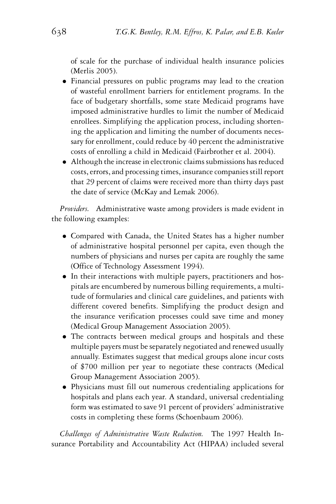of scale for the purchase of individual health insurance policies (Merlis 2005).

- Financial pressures on public programs may lead to the creation of wasteful enrollment barriers for entitlement programs. In the face of budgetary shortfalls, some state Medicaid programs have imposed administrative hurdles to limit the number of Medicaid enrollees. Simplifying the application process, including shortening the application and limiting the number of documents necessary for enrollment, could reduce by 40 percent the administrative costs of enrolling a child in Medicaid (Fairbrother et al. 2004).
- Although the increase in electronic claims submissions has reduced costs, errors, and processing times, insurance companies still report that 29 percent of claims were received more than thirty days past the date of service (McKay and Lemak 2006).

*Providers.* Administrative waste among providers is made evident in the following examples:

- Compared with Canada, the United States has a higher number of administrative hospital personnel per capita, even though the numbers of physicians and nurses per capita are roughly the same (Office of Technology Assessment 1994).
- In their interactions with multiple payers, practitioners and hospitals are encumbered by numerous billing requirements, a multitude of formularies and clinical care guidelines, and patients with different covered benefits. Simplifying the product design and the insurance verification processes could save time and money (Medical Group Management Association 2005).
- The contracts between medical groups and hospitals and these multiple payers must be separately negotiated and renewed usually annually. Estimates suggest that medical groups alone incur costs of \$700 million per year to negotiate these contracts (Medical Group Management Association 2005).
- Physicians must fill out numerous credentialing applications for hospitals and plans each year. A standard, universal credentialing form was estimated to save 91 percent of providers' administrative costs in completing these forms (Schoenbaum 2006).

*Challenges of Administrative Waste Reduction.* The 1997 Health Insurance Portability and Accountability Act (HIPAA) included several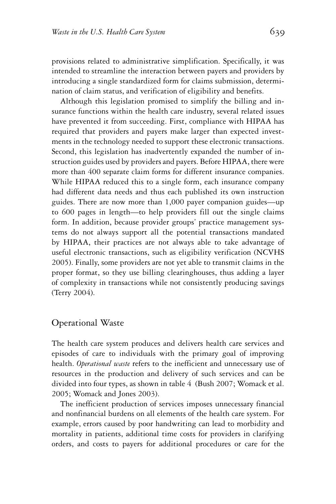provisions related to administrative simplification. Specifically, it was intended to streamline the interaction between payers and providers by introducing a single standardized form for claims submission, determination of claim status, and verification of eligibility and benefits.

Although this legislation promised to simplify the billing and insurance functions within the health care industry, several related issues have prevented it from succeeding. First, compliance with HIPAA has required that providers and payers make larger than expected investments in the technology needed to support these electronic transactions. Second, this legislation has inadvertently expanded the number of instruction guides used by providers and payers. Before HIPAA, there were more than 400 separate claim forms for different insurance companies. While HIPAA reduced this to a single form, each insurance company had different data needs and thus each published its own instruction guides. There are now more than 1,000 payer companion guides—up to 600 pages in length—to help providers fill out the single claims form. In addition, because provider groups' practice management systems do not always support all the potential transactions mandated by HIPAA, their practices are not always able to take advantage of useful electronic transactions, such as eligibility verification (NCVHS 2005). Finally, some providers are not yet able to transmit claims in the proper format, so they use billing clearinghouses, thus adding a layer of complexity in transactions while not consistently producing savings (Terry 2004).

#### Operational Waste

The health care system produces and delivers health care services and episodes of care to individuals with the primary goal of improving health. *Operational waste* refers to the inefficient and unnecessary use of resources in the production and delivery of such services and can be divided into four types, as shown in table 4 (Bush 2007; Womack et al. 2005; Womack and Jones 2003).

The inefficient production of services imposes unnecessary financial and nonfinancial burdens on all elements of the health care system. For example, errors caused by poor handwriting can lead to morbidity and mortality in patients, additional time costs for providers in clarifying orders, and costs to payers for additional procedures or care for the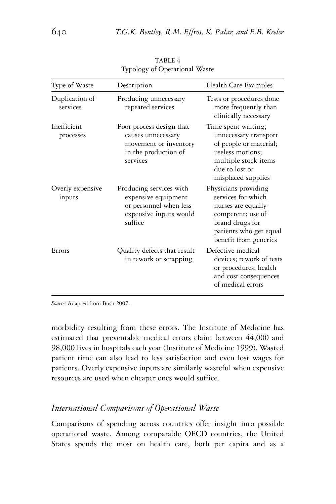| Type of Waste              | Description                                                                                                   | Health Care Examples                                                                                                                                        |
|----------------------------|---------------------------------------------------------------------------------------------------------------|-------------------------------------------------------------------------------------------------------------------------------------------------------------|
| Duplication of<br>services | Producing unnecessary<br>repeated services                                                                    | Tests or procedures done<br>more frequently than<br>clinically necessary                                                                                    |
| Inefficient<br>processes   | Poor process design that<br>causes unnecessary<br>movement or inventory<br>in the production of<br>services   | Time spent waiting;<br>unnecessary transport<br>of people or material;<br>useless motions;<br>multiple stock items<br>due to lost or<br>misplaced supplies  |
| Overly expensive<br>inputs | Producing services with<br>expensive equipment<br>or personnel when less<br>expensive inputs would<br>suffice | Physicians providing<br>services for which<br>nurses are equally<br>competent; use of<br>brand drugs for<br>patients who get equal<br>benefit from generics |
| Errors                     | Quality defects that result<br>in rework or scrapping                                                         | Defective medical<br>devices; rework of tests<br>or procedures; health<br>and cost consequences<br>of medical errors                                        |

TABLE 4 Typology of Operational Waste

*Source:* Adapted from Bush 2007.

morbidity resulting from these errors. The Institute of Medicine has estimated that preventable medical errors claim between 44,000 and 98,000 lives in hospitals each year (Institute of Medicine 1999). Wasted patient time can also lead to less satisfaction and even lost wages for patients. Overly expensive inputs are similarly wasteful when expensive resources are used when cheaper ones would suffice.

# *International Comparisons of Operational Waste*

Comparisons of spending across countries offer insight into possible operational waste. Among comparable OECD countries, the United States spends the most on health care, both per capita and as a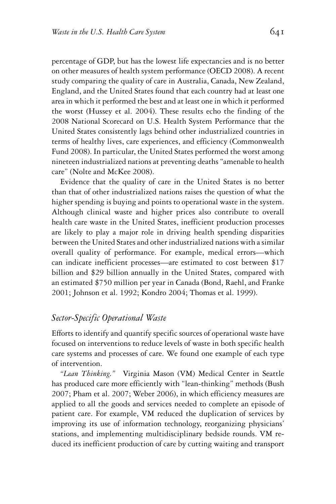percentage of GDP, but has the lowest life expectancies and is no better on other measures of health system performance (OECD 2008). A recent study comparing the quality of care in Australia, Canada, New Zealand, England, and the United States found that each country had at least one area in which it performed the best and at least one in which it performed the worst (Hussey et al. 2004). These results echo the finding of the 2008 National Scorecard on U.S. Health System Performance that the United States consistently lags behind other industrialized countries in terms of healthy lives, care experiences, and efficiency (Commonwealth Fund 2008). In particular, the United States performed the worst among nineteen industrialized nations at preventing deaths "amenable to health care" (Nolte and McKee 2008).

Evidence that the quality of care in the United States is no better than that of other industrialized nations raises the question of what the higher spending is buying and points to operational waste in the system. Although clinical waste and higher prices also contribute to overall health care waste in the United States, inefficient production processes are likely to play a major role in driving health spending disparities between the United States and other industrialized nations with a similar overall quality of performance. For example, medical errors—which can indicate inefficient processes—are estimated to cost between \$17 billion and \$29 billion annually in the United States, compared with an estimated \$750 million per year in Canada (Bond, Raehl, and Franke 2001; Johnson et al. 1992; Kondro 2004; Thomas et al. 1999).

# *Sector-Specific Operational Waste*

Efforts to identify and quantify specific sources of operational waste have focused on interventions to reduce levels of waste in both specific health care systems and processes of care. We found one example of each type of intervention.

*"Lean Thinking."* Virginia Mason (VM) Medical Center in Seattle has produced care more efficiently with "lean-thinking" methods (Bush 2007; Pham et al. 2007; Weber 2006), in which efficiency measures are applied to all the goods and services needed to complete an episode of patient care. For example, VM reduced the duplication of services by improving its use of information technology, reorganizing physicians' stations, and implementing multidisciplinary bedside rounds. VM reduced its inefficient production of care by cutting waiting and transport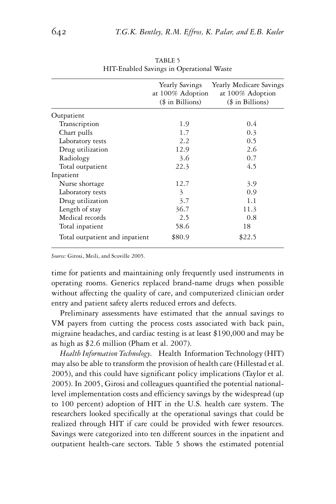|                                | Yearly Savings<br>at 100% Adoption<br>$$$ in Billions) | Yearly Medicare Savings<br>at 100% Adoption<br>$($$ in Billions) |
|--------------------------------|--------------------------------------------------------|------------------------------------------------------------------|
| Outpatient                     |                                                        |                                                                  |
| Transcription                  | 1.9                                                    | 0.4                                                              |
| Chart pulls                    | 1.7                                                    | 0.3                                                              |
| Laboratory tests               | 2.2                                                    | 0.5                                                              |
| Drug utilization               | 12.9                                                   | 2.6                                                              |
| Radiology                      | 3.6                                                    | 0.7                                                              |
| Total outpatient               | 22.3                                                   | 4.5                                                              |
| Inpatient                      |                                                        |                                                                  |
| Nurse shortage                 | 12.7                                                   | 3.9                                                              |
| Laboratory tests               | 3                                                      | 0.9                                                              |
| Drug utilization               | 3.7                                                    | 1.1                                                              |
| Length of stay                 | 36.7                                                   | 11.3                                                             |
| Medical records                | 2.5                                                    | 0.8                                                              |
| Total inpatient                | 58.6                                                   | 18                                                               |
| Total outpatient and inpatient | \$80.9                                                 | \$22.5                                                           |

TABLE 5 HIT-Enabled Savings in Operational Waste

*Source:* Girosi, Meili, and Scoville 2005.

time for patients and maintaining only frequently used instruments in operating rooms. Generics replaced brand-name drugs when possible without affecting the quality of care, and computerized clinician order entry and patient safety alerts reduced errors and defects.

Preliminary assessments have estimated that the annual savings to VM payers from cutting the process costs associated with back pain, migraine headaches, and cardiac testing is at least \$190,000 and may be as high as \$2.6 million (Pham et al. 2007).

*Health Information Technology.* Health Information Technology (HIT) may also be able to transform the provision of health care (Hillestad et al. 2005), and this could have significant policy implications (Taylor et al. 2005). In 2005, Girosi and colleagues quantified the potential nationallevel implementation costs and efficiency savings by the widespread (up to 100 percent) adoption of HIT in the U.S. health care system. The researchers looked specifically at the operational savings that could be realized through HIT if care could be provided with fewer resources. Savings were categorized into ten different sources in the inpatient and outpatient health-care sectors. Table 5 shows the estimated potential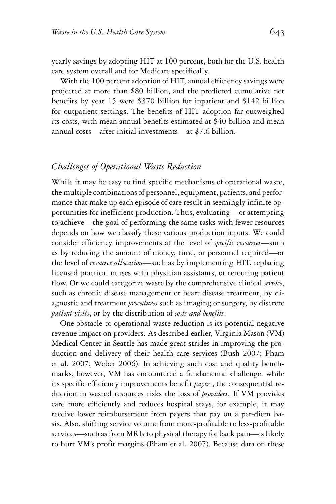yearly savings by adopting HIT at 100 percent, both for the U.S. health care system overall and for Medicare specifically.

With the 100 percent adoption of HIT, annual efficiency savings were projected at more than \$80 billion, and the predicted cumulative net benefits by year 15 were \$370 billion for inpatient and \$142 billion for outpatient settings. The benefits of HIT adoption far outweighed its costs, with mean annual benefits estimated at \$40 billion and mean annual costs—after initial investments—at \$7.6 billion.

# *Challenges of Operational Waste Reduction*

While it may be easy to find specific mechanisms of operational waste, the multiple combinations of personnel, equipment, patients, and performance that make up each episode of care result in seemingly infinite opportunities for inefficient production. Thus, evaluating—or attempting to achieve—the goal of performing the same tasks with fewer resources depends on how we classify these various production inputs. We could consider efficiency improvements at the level of *specific resources*—such as by reducing the amount of money, time, or personnel required—or the level of *resource allocation—*such as by implementing HIT, replacing licensed practical nurses with physician assistants, or rerouting patient flow. Or we could categorize waste by the comprehensive clinical *service*, such as chronic disease management or heart disease treatment, by diagnostic and treatment *procedures* such as imaging or surgery, by discrete *patient visits*, or by the distribution of *costs and benefits*.

One obstacle to operational waste reduction is its potential negative revenue impact on providers. As described earlier, Virginia Mason (VM) Medical Center in Seattle has made great strides in improving the production and delivery of their health care services (Bush 2007; Pham et al. 2007; Weber 2006). In achieving such cost and quality benchmarks, however, VM has encountered a fundamental challenge: while its specific efficiency improvements benefit *payers*, the consequential reduction in wasted resources risks the loss of *providers*. If VM provides care more efficiently and reduces hospital stays, for example, it may receive lower reimbursement from payers that pay on a per-diem basis. Also, shifting service volume from more-profitable to less-profitable services—such as from MRIs to physical therapy for back pain—is likely to hurt VM's profit margins (Pham et al. 2007). Because data on these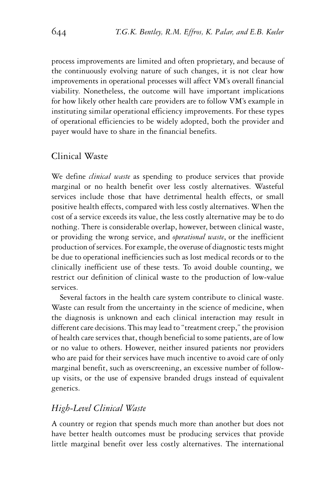process improvements are limited and often proprietary, and because of the continuously evolving nature of such changes, it is not clear how improvements in operational processes will affect VM's overall financial viability. Nonetheless, the outcome will have important implications for how likely other health care providers are to follow VM's example in instituting similar operational efficiency improvements. For these types of operational efficiencies to be widely adopted, both the provider and payer would have to share in the financial benefits.

# Clinical Waste

We define *clinical waste* as spending to produce services that provide marginal or no health benefit over less costly alternatives. Wasteful services include those that have detrimental health effects, or small positive health effects, compared with less costly alternatives. When the cost of a service exceeds its value, the less costly alternative may be to do nothing. There is considerable overlap, however, between clinical waste, or providing the wrong service, and *operational waste*, or the inefficient production of services. For example, the overuse of diagnostic tests might be due to operational inefficiencies such as lost medical records or to the clinically inefficient use of these tests. To avoid double counting, we restrict our definition of clinical waste to the production of low-value services.

Several factors in the health care system contribute to clinical waste. Waste can result from the uncertainty in the science of medicine, when the diagnosis is unknown and each clinical interaction may result in different care decisions. This may lead to "treatment creep," the provision of health care services that, though beneficial to some patients, are of low or no value to others. However, neither insured patients nor providers who are paid for their services have much incentive to avoid care of only marginal benefit, such as overscreening, an excessive number of followup visits, or the use of expensive branded drugs instead of equivalent generics.

# *High-Level Clinical Waste*

A country or region that spends much more than another but does not have better health outcomes must be producing services that provide little marginal benefit over less costly alternatives. The international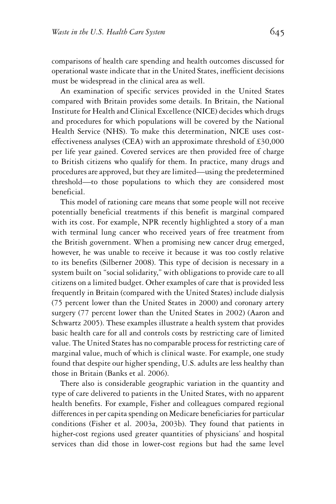comparisons of health care spending and health outcomes discussed for operational waste indicate that in the United States, inefficient decisions must be widespread in the clinical area as well.

An examination of specific services provided in the United States compared with Britain provides some details. In Britain, the National Institute for Health and Clinical Excellence (NICE) decides which drugs and procedures for which populations will be covered by the National Health Service (NHS). To make this determination, NICE uses costeffectiveness analyses (CEA) with an approximate threshold of £30,000 per life year gained. Covered services are then provided free of charge to British citizens who qualify for them. In practice, many drugs and procedures are approved, but they are limited—using the predetermined threshold—to those populations to which they are considered most beneficial.

This model of rationing care means that some people will not receive potentially beneficial treatments if this benefit is marginal compared with its cost. For example, NPR recently highlighted a story of a man with terminal lung cancer who received years of free treatment from the British government. When a promising new cancer drug emerged, however, he was unable to receive it because it was too costly relative to its benefits (Silberner 2008). This type of decision is necessary in a system built on "social solidarity," with obligations to provide care to all citizens on a limited budget. Other examples of care that is provided less frequently in Britain (compared with the United States) include dialysis (75 percent lower than the United States in 2000) and coronary artery surgery (77 percent lower than the United States in 2002) (Aaron and Schwartz 2005). These examples illustrate a health system that provides basic health care for all and controls costs by restricting care of limited value. The United States has no comparable process for restricting care of marginal value, much of which is clinical waste. For example, one study found that despite our higher spending, U.S. adults are less healthy than those in Britain (Banks et al. 2006).

There also is considerable geographic variation in the quantity and type of care delivered to patients in the United States, with no apparent health benefits. For example, Fisher and colleagues compared regional differences in per capita spending on Medicare beneficiaries for particular conditions (Fisher et al. 2003a, 2003b). They found that patients in higher-cost regions used greater quantities of physicians' and hospital services than did those in lower-cost regions but had the same level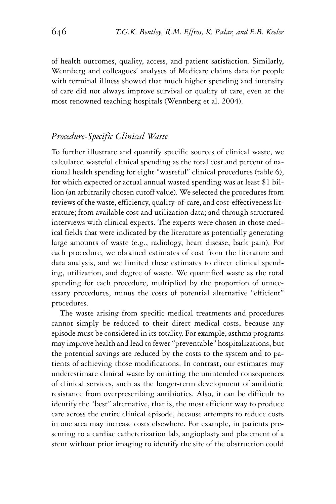of health outcomes, quality, access, and patient satisfaction. Similarly, Wennberg and colleagues' analyses of Medicare claims data for people with terminal illness showed that much higher spending and intensity of care did not always improve survival or quality of care, even at the most renowned teaching hospitals (Wennberg et al. 2004).

# *Procedure-Specific Clinical Waste*

To further illustrate and quantify specific sources of clinical waste, we calculated wasteful clinical spending as the total cost and percent of national health spending for eight "wasteful" clinical procedures (table 6), for which expected or actual annual wasted spending was at least \$1 billion (an arbitrarily chosen cutoff value). We selected the procedures from reviews of the waste, efficiency, quality-of-care, and cost-effectiveness literature; from available cost and utilization data; and through structured interviews with clinical experts. The experts were chosen in those medical fields that were indicated by the literature as potentially generating large amounts of waste (e.g., radiology, heart disease, back pain). For each procedure, we obtained estimates of cost from the literature and data analysis, and we limited these estimates to direct clinical spending, utilization, and degree of waste. We quantified waste as the total spending for each procedure, multiplied by the proportion of unnecessary procedures, minus the costs of potential alternative "efficient" procedures.

The waste arising from specific medical treatments and procedures cannot simply be reduced to their direct medical costs, because any episode must be considered in its totality. For example, asthma programs may improve health and lead to fewer "preventable" hospitalizations, but the potential savings are reduced by the costs to the system and to patients of achieving those modifications. In contrast, our estimates may underestimate clinical waste by omitting the unintended consequences of clinical services, such as the longer-term development of antibiotic resistance from overprescribing antibiotics. Also, it can be difficult to identify the "best" alternative, that is, the most efficient way to produce care across the entire clinical episode, because attempts to reduce costs in one area may increase costs elsewhere. For example, in patients presenting to a cardiac catheterization lab, angioplasty and placement of a stent without prior imaging to identify the site of the obstruction could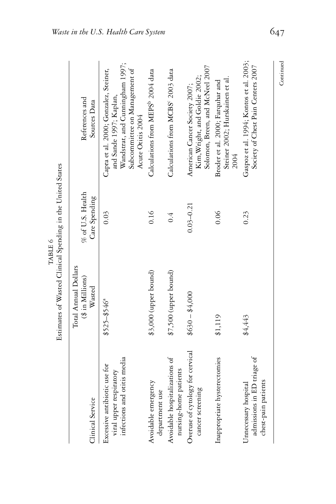|                                                                                        | Estimates of Wasted Clinical Spending in the United States |                                   |                                                                                                                                                           |
|----------------------------------------------------------------------------------------|------------------------------------------------------------|-----------------------------------|-----------------------------------------------------------------------------------------------------------------------------------------------------------|
|                                                                                        | Total Annual Dollars                                       |                                   |                                                                                                                                                           |
| Clinical Service                                                                       | $(\frac{4}{9}$ in Millions)<br>Wasted                      | % of U.S. Health<br>Care Spending | References and<br>Sources Data                                                                                                                            |
| infections and otitis media<br>Excessive antibiotic use for<br>viral upper respiratory | $$525-\$546^a$                                             | 0.03                              | Wandstrat, and Cunningham 1997;<br>Subcommittee on Management of<br>Capra et al. 2000; Gonzalez, Steiner,<br>and Sande 1997; Kaplan,<br>Acute Otitis 2004 |
| Avoidable emergency<br>department use                                                  | \$3,000 (upper bound)                                      | 0.16                              | Calculations from MEPS <sup>b</sup> 2004 data                                                                                                             |
| Avoidable hospitalizations of<br>nursing-home patients                                 | \$7,500 (upper bound)                                      | 0.4                               | Calculations from MCBS <sup>c</sup> 2003 data                                                                                                             |
| Overuse of cytology for cervical<br>cancer screening                                   | $$630 - $4,000$                                            | $0.03 - 0.21$                     | Solomon, Breen, and McNeel 2007<br>Kim, Wright, and Goldie 2002;<br>American Cancer Society 2007;                                                         |
| Inappropriate hysterectomies                                                           | \$1,119                                                    | 0.06                              | Steiner 2002; Hurskainen et al.<br>Broder et al. 2000; Farquhar and<br>2004                                                                               |
| admissions in ED triage of<br>chest-pain patients<br>Unnecessary hospital              | \$4,443                                                    | 0.23                              | Gaspoz et al. 1994; Kontos et al. 2003;<br>Society of Chest Pain Centers 2007                                                                             |
|                                                                                        |                                                            |                                   | Continued                                                                                                                                                 |

TABLE 6<br>Retimates of Wasted Clinical Spending in the United States

*Waste in the U.S. Health Care System* 647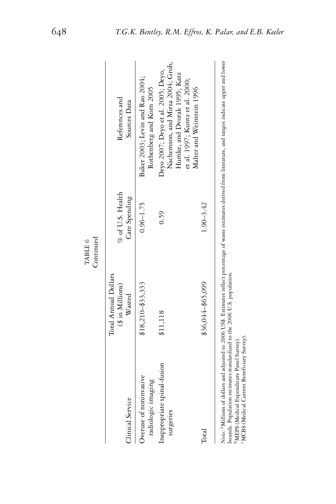| ∽      | n<br>J |
|--------|--------|
| ш      | ┑      |
| ᆜ<br>≏ |        |
| ٠      |        |
| ⊢      | □      |

| Clinical Service                                                                                                                                                              | Total Annual Dollars<br>$(\frac{4}{9}$ in Millions)<br>Wasted | % of U.S. Health<br>Care Spending | References and<br>Sources Data                                                                                                                                         |
|-------------------------------------------------------------------------------------------------------------------------------------------------------------------------------|---------------------------------------------------------------|-----------------------------------|------------------------------------------------------------------------------------------------------------------------------------------------------------------------|
| Overuse of noninvasive<br>radiologic imaging                                                                                                                                  | $$18,210-\$33,333$                                            | $0.96 - 1.75$                     | Baker 2003; Levin and Rao 2004;<br>Rothenberg and Korn 2005                                                                                                            |
| Inappropriate spinal-fusion<br>surgeries                                                                                                                                      | \$11,118                                                      | 0.59                              | Nachemson, and Mirza 2004; Grob,<br>Deyo 2007; Deyo et al. 2005; Deyo,<br>Humke, and Dvorak 1995; Katz<br>et al. 1997; Kuntz et al. 2000;<br>Malter and Weinstein 1996 |
| Total                                                                                                                                                                         | \$36,044-\$65,099                                             | $1.90 - 3.42$                     |                                                                                                                                                                        |
| bounds. Population estimates standardized to the 2006 U.S. population.<br>'MCBS (Medical Current Beneficiary Survey)<br><sup>b</sup> MEPS (Medical Expenditure Panel Survey). |                                                               |                                   | Note: "Millions of dollars and adjusted to 2006 US\$. Estimates reflect percentage of waste estimates derived from literature, and ranges indicate upper and lower     |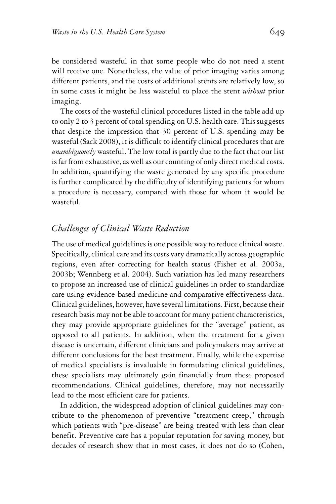be considered wasteful in that some people who do not need a stent will receive one. Nonetheless, the value of prior imaging varies among different patients, and the costs of additional stents are relatively low, so in some cases it might be less wasteful to place the stent *without* prior imaging.

The costs of the wasteful clinical procedures listed in the table add up to only 2 to 3 percent of total spending on U.S. health care. This suggests that despite the impression that 30 percent of U.S. spending may be wasteful (Sack 2008), it is difficult to identify clinical procedures that are *unambiguously* wasteful. The low total is partly due to the fact that our list is far from exhaustive, as well as our counting of only direct medical costs. In addition, quantifying the waste generated by any specific procedure is further complicated by the difficulty of identifying patients for whom a procedure is necessary, compared with those for whom it would be wasteful.

# *Challenges of Clinical Waste Reduction*

The use of medical guidelines is one possible way to reduce clinical waste. Specifically, clinical care and its costs vary dramatically across geographic regions, even after correcting for health status (Fisher et al. 2003a, 2003b; Wennberg et al. 2004). Such variation has led many researchers to propose an increased use of clinical guidelines in order to standardize care using evidence-based medicine and comparative effectiveness data. Clinical guidelines, however, have several limitations. First, because their research basis may not be able to account for many patient characteristics, they may provide appropriate guidelines for the "average" patient, as opposed to all patients. In addition, when the treatment for a given disease is uncertain, different clinicians and policymakers may arrive at different conclusions for the best treatment. Finally, while the expertise of medical specialists is invaluable in formulating clinical guidelines, these specialists may ultimately gain financially from these proposed recommendations. Clinical guidelines, therefore, may not necessarily lead to the most efficient care for patients.

In addition, the widespread adoption of clinical guidelines may contribute to the phenomenon of preventive "treatment creep," through which patients with "pre-disease" are being treated with less than clear benefit. Preventive care has a popular reputation for saving money, but decades of research show that in most cases, it does not do so (Cohen,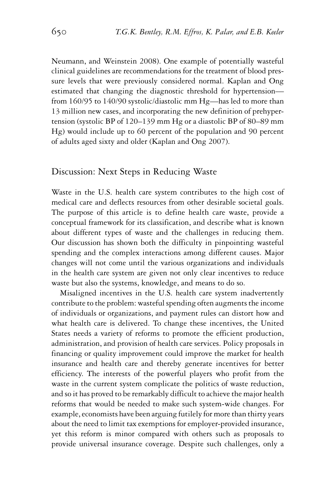Neumann, and Weinstein 2008). One example of potentially wasteful clinical guidelines are recommendations for the treatment of blood pressure levels that were previously considered normal. Kaplan and Ong estimated that changing the diagnostic threshold for hypertension from 160/95 to 140/90 systolic/diastolic mm Hg—has led to more than 13 million new cases, and incorporating the new definition of prehypertension (systolic BP of 120–139 mm Hg or a diastolic BP of 80–89 mm Hg) would include up to 60 percent of the population and 90 percent of adults aged sixty and older (Kaplan and Ong 2007).

#### Discussion: Next Steps in Reducing Waste

Waste in the U.S. health care system contributes to the high cost of medical care and deflects resources from other desirable societal goals. The purpose of this article is to define health care waste, provide a conceptual framework for its classification, and describe what is known about different types of waste and the challenges in reducing them. Our discussion has shown both the difficulty in pinpointing wasteful spending and the complex interactions among different causes. Major changes will not come until the various organizations and individuals in the health care system are given not only clear incentives to reduce waste but also the systems, knowledge, and means to do so.

Misaligned incentives in the U.S. health care system inadvertently contribute to the problem: wasteful spending often augments the income of individuals or organizations, and payment rules can distort how and what health care is delivered. To change these incentives, the United States needs a variety of reforms to promote the efficient production, administration, and provision of health care services. Policy proposals in financing or quality improvement could improve the market for health insurance and health care and thereby generate incentives for better efficiency. The interests of the powerful players who profit from the waste in the current system complicate the politics of waste reduction, and so it has proved to be remarkably difficult to achieve the major health reforms that would be needed to make such system-wide changes. For example, economists have been arguing futilely for more than thirty years about the need to limit tax exemptions for employer-provided insurance, yet this reform is minor compared with others such as proposals to provide universal insurance coverage. Despite such challenges, only a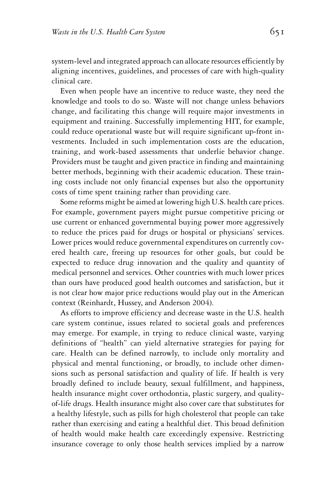system-level and integrated approach can allocate resources efficiently by aligning incentives, guidelines, and processes of care with high-quality clinical care.

Even when people have an incentive to reduce waste, they need the knowledge and tools to do so. Waste will not change unless behaviors change, and facilitating this change will require major investments in equipment and training. Successfully implementing HIT, for example, could reduce operational waste but will require significant up-front investments. Included in such implementation costs are the education, training, and work-based assessments that underlie behavior change. Providers must be taught and given practice in finding and maintaining better methods, beginning with their academic education. These training costs include not only financial expenses but also the opportunity costs of time spent training rather than providing care.

Some reforms might be aimed at lowering high U.S. health care prices. For example, government payers might pursue competitive pricing or use current or enhanced governmental buying power more aggressively to reduce the prices paid for drugs or hospital or physicians' services. Lower prices would reduce governmental expenditures on currently covered health care, freeing up resources for other goals, but could be expected to reduce drug innovation and the quality and quantity of medical personnel and services. Other countries with much lower prices than ours have produced good health outcomes and satisfaction, but it is not clear how major price reductions would play out in the American context (Reinhardt, Hussey, and Anderson 2004).

As efforts to improve efficiency and decrease waste in the U.S. health care system continue, issues related to societal goals and preferences may emerge. For example, in trying to reduce clinical waste, varying definitions of "health" can yield alternative strategies for paying for care. Health can be defined narrowly, to include only mortality and physical and mental functioning, or broadly, to include other dimensions such as personal satisfaction and quality of life. If health is very broadly defined to include beauty, sexual fulfillment, and happiness, health insurance might cover orthodontia, plastic surgery, and qualityof-life drugs. Health insurance might also cover care that substitutes for a healthy lifestyle, such as pills for high cholesterol that people can take rather than exercising and eating a healthful diet. This broad definition of health would make health care exceedingly expensive. Restricting insurance coverage to only those health services implied by a narrow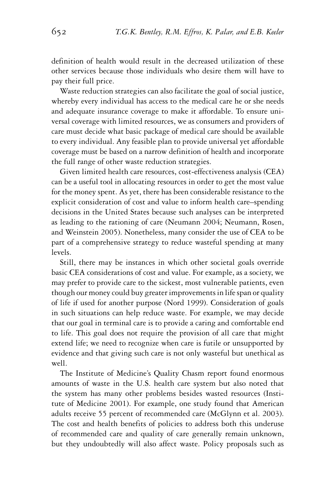definition of health would result in the decreased utilization of these other services because those individuals who desire them will have to pay their full price.

Waste reduction strategies can also facilitate the goal of social justice, whereby every individual has access to the medical care he or she needs and adequate insurance coverage to make it affordable. To ensure universal coverage with limited resources, we as consumers and providers of care must decide what basic package of medical care should be available to every individual. Any feasible plan to provide universal yet affordable coverage must be based on a narrow definition of health and incorporate the full range of other waste reduction strategies.

Given limited health care resources, cost-effectiveness analysis (CEA) can be a useful tool in allocating resources in order to get the most value for the money spent. As yet, there has been considerable resistance to the explicit consideration of cost and value to inform health care–spending decisions in the United States because such analyses can be interpreted as leading to the rationing of care (Neumann 2004; Neumann, Rosen, and Weinstein 2005). Nonetheless, many consider the use of CEA to be part of a comprehensive strategy to reduce wasteful spending at many levels.

Still, there may be instances in which other societal goals override basic CEA considerations of cost and value. For example, as a society, we may prefer to provide care to the sickest, most vulnerable patients, even though our money could buy greater improvements in life span or quality of life if used for another purpose (Nord 1999). Consideration of goals in such situations can help reduce waste. For example, we may decide that our goal in terminal care is to provide a caring and comfortable end to life. This goal does not require the provision of all care that might extend life; we need to recognize when care is futile or unsupported by evidence and that giving such care is not only wasteful but unethical as well.

The Institute of Medicine's Quality Chasm report found enormous amounts of waste in the U.S. health care system but also noted that the system has many other problems besides wasted resources (Institute of Medicine 2001). For example, one study found that American adults receive 55 percent of recommended care (McGlynn et al. 2003). The cost and health benefits of policies to address both this underuse of recommended care and quality of care generally remain unknown, but they undoubtedly will also affect waste. Policy proposals such as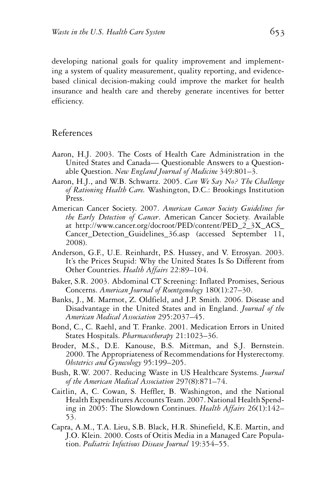developing national goals for quality improvement and implementing a system of quality measurement, quality reporting, and evidencebased clinical decision-making could improve the market for health insurance and health care and thereby generate incentives for better efficiency.

#### References

- Aaron, H.J. 2003. The Costs of Health Care Administration in the United States and Canada— Questionable Answers to a Questionable Question. *New England Journal of Medicine* 349:801–3.
- Aaron, H.J., and W.B. Schwartz. 2005. *Can We Say No? The Challenge of Rationing Health Care.* Washington, D.C.: Brookings Institution Press.
- American Cancer Society. 2007. *American Cancer Society Guidelines for the Early Detection of Cancer*. American Cancer Society. Available at http://www.cancer.org/docroot/PED/content/PED\_2\_3X\_ACS\_ Cancer\_Detection\_Guidelines\_36.asp (accessed September 11, 2008).
- Anderson, G.F., U.E. Reinhardt, P.S. Hussey, and V. Etrosyan. 2003. It's the Prices Stupid: Why the United States Is So Different from Other Countries. *Health Affairs* 22:89–104.
- Baker, S.R. 2003. Abdominal CT Screening: Inflated Promises, Serious Concerns. *American Journal of Roentgenology* 180(1):27–30.
- Banks, J., M. Marmot, Z. Oldfield, and J.P. Smith. 2006. Disease and Disadvantage in the United States and in England. *Journal of the American Medical Association* 295:2037–45.
- Bond, C., C. Raehl, and T. Franke. 2001. Medication Errors in United States Hospitals. *Pharmacotherapy* 21:1023–36.
- Broder, M.S., D.E. Kanouse, B.S. Mittman, and S.J. Bernstein. 2000. The Appropriateness of Recommendations for Hysterectomy. *Obstetrics and Gynecology* 95:199–205.
- Bush, R.W. 2007. Reducing Waste in US Healthcare Systems. *Journal of the American Medical Association* 297(8):871–74.
- Caitlin, A, C. Cowan, S. Heffler, B. Washington, and the National Health Expenditures Accounts Team. 2007. National Health Spending in 2005: The Slowdown Continues. *Health Affairs* 26(1):142– 53.
- Capra, A.M., T.A. Lieu, S.B. Black, H.R. Shinefield, K.E. Martin, and J.O. Klein. 2000. Costs of Otitis Media in a Managed Care Population. *Pediatric Infectious Disease Journal* 19:354–55.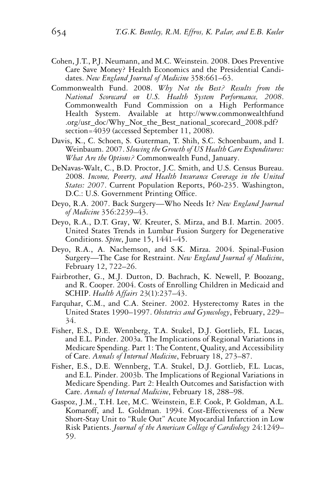- Cohen, J.T., P.J. Neumann, and M.C. Weinstein. 2008. Does Preventive Care Save Money? Health Economics and the Presidential Candidates. *New England Journal of Medicine* 358:661–63.
- Commonwealth Fund. 2008. *Why Not the Best? Results from the National Scorecard on U.S. Health System Performance, 2008*. Commonwealth Fund Commission on a High Performance Health System. Available at http://www.commonwealthfund .org/usr\_doc/Why\_Not\_the\_Best\_national\_scorecard\_2008.pdf? section=4039 (accessed September 11, 2008).
- Davis, K., C. Schoen, S. Guterman, T. Shih, S.C. Schoenbaum, and I. Weinbaum. 2007. *Slowing the Growth of US Health Care Expenditures: What Are the Options?* Commonwealth Fund, January.
- DeNavas-Walt, C., B.D. Proctor, J.C. Smith, and U.S. Census Bureau. 2008. *Income, Poverty, and Health Insurance Coverage in the United States: 2007*. Current Population Reports, P60-235. Washington, D.C.: U.S. Government Printing Office.
- Deyo, R.A. 2007. Back Surgery—Who Needs It? *New England Journal of Medicine* 356:2239–43.
- Deyo, R.A., D.T. Gray, W. Kreuter, S. Mirza, and B.I. Martin. 2005. United States Trends in Lumbar Fusion Surgery for Degenerative Conditions. *Spine*, June 15, 1441–45.
- Deyo, R.A., A. Nachemson, and S.K. Mirza. 2004. Spinal-Fusion Surgery—The Case for Restraint. *New England Journal of Medicine*, February 12, 722–26.
- Fairbrother, G., M.J. Dutton, D. Bachrach, K. Newell, P. Boozang, and R. Cooper. 2004. Costs of Enrolling Children in Medicaid and SCHIP. *Health Affairs* 23(1):237–43.
- Farquhar, C.M., and C.A. Steiner. 2002. Hysterectomy Rates in the United States 1990–1997. *Obstetrics and Gynecology*, February, 229– 34.
- Fisher, E.S., D.E. Wennberg, T.A. Stukel, D.J. Gottlieb, F.L. Lucas, and E.L. Pinder. 2003a. The Implications of Regional Variations in Medicare Spending. Part 1: The Content, Quality, and Accessibility of Care. *Annals of Internal Medicine*, February 18, 273–87.
- Fisher, E.S., D.E. Wennberg, T.A. Stukel, D.J. Gottlieb, F.L. Lucas, and E.L. Pinder. 2003b. The Implications of Regional Variations in Medicare Spending. Part 2: Health Outcomes and Satisfaction with Care. *Annals of Internal Medicine*, February 18, 288–98.
- Gaspoz, J.M., T.H. Lee, M.C. Weinstein, E.F. Cook, P. Goldman, A.L. Komaroff, and L. Goldman. 1994. Cost-Effectiveness of a New Short-Stay Unit to "Rule Out" Acute Myocardial Infarction in Low Risk Patients. *Journal of the American College of Cardiology* 24:1249– 59.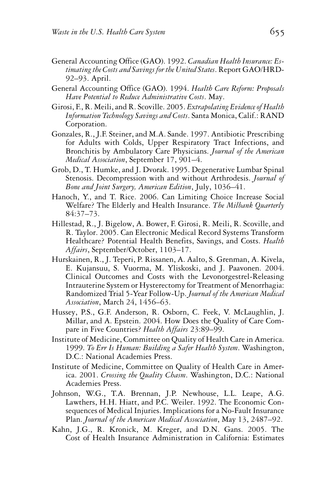- General Accounting Office (GAO). 1992. *Canadian Health Insurance: Estimating the Costs and Savings for the United States*. Report GAO/HRD-92–93. April.
- General Accounting Office (GAO). 1994. *Health Care Reform: Proposals Have Potential to Reduce Administrative Costs*. May.
- Girosi, F., R. Meili, and R. Scoville. 2005. *Extrapolating Evidence of Health Information Technology Savings and Costs*. Santa Monica, Calif.: RAND Corporation.
- Gonzales, R., J.F. Steiner, and M.A. Sande. 1997. Antibiotic Prescribing for Adults with Colds, Upper Respiratory Tract Infections, and Bronchitis by Ambulatory Care Physicians. *Journal of the American Medical Association*, September 17, 901–4.
- Grob, D., T. Humke, and J. Dvorak. 1995. Degenerative Lumbar Spinal Stenosis. Decompression with and without Arthrodesis. *Journal of Bone and Joint Surgery, American Edition*, July, 1036–41.
- Hanoch, Y., and T. Rice. 2006. Can Limiting Choice Increase Social Welfare? The Elderly and Health Insurance. *The Milbank Quarterly* 84:37–73.
- Hillestad, R., J. Bigelow, A. Bower, F. Girosi, R. Meili, R. Scoville, and R. Taylor. 2005. Can Electronic Medical Record Systems Transform Healthcare? Potential Health Benefits, Savings, and Costs. *Health Affairs*, September/October, 1103–17.
- Hurskainen, R., J. Teperi, P. Rissanen, A. Aalto, S. Grenman, A. Kivela, E. Kujansuu, S. Vuorma, M. Yliskoski, and J. Paavonen. 2004. Clinical Outcomes and Costs with the Levonorgestrel-Releasing Intrauterine System or Hysterectomy for Treatment of Menorrhagia: Randomized Trial 5-Year Follow-Up. *Journal of the American Medical Association*, March 24, 1456–63.
- Hussey, P.S., G.F. Anderson, R. Osborn, C. Feek, V. McLaughlin, J. Millar, and A. Epstein. 2004. How Does the Quality of Care Compare in Five Countries? *Health Affairs* 23:89–99.
- Institute of Medicine, Committee on Quality of Health Care in America. 1999. *To Err Is Human: Building a Safer Health System*. Washington, D.C.: National Academies Press.
- Institute of Medicine, Committee on Quality of Health Care in America. 2001. *Crossing the Quality Chasm*. Washington, D.C.: National Academies Press.
- Johnson, W.G., T.A. Brennan, J.P. Newhouse, L.L. Leape, A.G. Lawthers, H.H. Hiatt, and P.C. Weiler. 1992. The Economic Consequences of Medical Injuries. Implications for a No-Fault Insurance Plan. *Journal of the American Medical Association*, May 13, 2487–92.
- Kahn, J.G., R. Kronick, M. Kreger, and D.N. Gans. 2005. The Cost of Health Insurance Administration in California: Estimates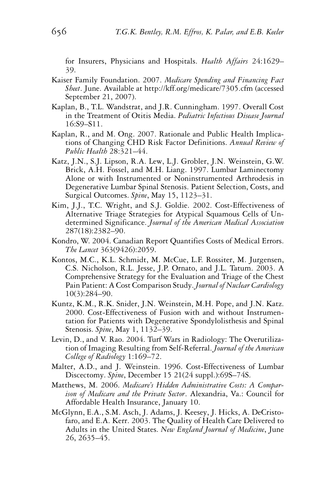for Insurers, Physicians and Hospitals. *Health Affairs* 24:1629– 39.

- Kaiser Family Foundation. 2007. *Medicare Spending and Financing Fact Sheet*. June. Available at http://kff.org/medicare/7305.cfm (accessed September 21, 2007).
- Kaplan, B., T.L. Wandstrat, and J.R. Cunningham. 1997. Overall Cost in the Treatment of Otitis Media. *Pediatric Infectious Disease Journal* 16:S9–S11.
- Kaplan, R., and M. Ong. 2007. Rationale and Public Health Implications of Changing CHD Risk Factor Definitions. *Annual Review of Public Health* 28:321–44.
- Katz, J.N., S.J. Lipson, R.A. Lew, L.J. Grobler, J.N. Weinstein, G.W. Brick, A.H. Fossel, and M.H. Liang. 1997. Lumbar Laminectomy Alone or with Instrumented or Noninstrumented Arthrodesis in Degenerative Lumbar Spinal Stenosis. Patient Selection, Costs, and Surgical Outcomes. *Spine*, May 15, 1123–31.
- Kim, J.J., T.C. Wright, and S.J. Goldie. 2002. Cost-Effectiveness of Alternative Triage Strategies for Atypical Squamous Cells of Undetermined Significance. *Journal of the American Medical Association* 287(18):2382–90.
- Kondro, W. 2004. Canadian Report Quantifies Costs of Medical Errors. *The Lancet* 363(9426):2059.
- Kontos, M.C., K.L. Schmidt, M. McCue, L.F. Rossiter, M. Jurgensen, C.S. Nicholson, R.L. Jesse, J.P. Ornato, and J.L. Tatum. 2003. A Comprehensive Strategy for the Evaluation and Triage of the Chest Pain Patient: A Cost Comparison Study.*Journal of Nuclear Cardiology* 10(3):284–90.
- Kuntz, K.M., R.K. Snider, J.N. Weinstein, M.H. Pope, and J.N. Katz. 2000. Cost-Effectiveness of Fusion with and without Instrumentation for Patients with Degenerative Spondylolisthesis and Spinal Stenosis. *Spine*, May 1, 1132–39.
- Levin, D., and V. Rao. 2004. Turf Wars in Radiology: The Overutilization of Imaging Resulting from Self-Referral. *Journal of the American College of Radiology* 1:169–72.
- Malter, A.D., and J. Weinstein. 1996. Cost-Effectiveness of Lumbar Discectomy. *Spine*, December 15 21(24 suppl.):69S–74S.
- Matthews, M. 2006. *Medicare's Hidden Administrative Costs: A Comparison of Medicare and the Private Sector*. Alexandria, Va.: Council for Affordable Health Insurance, January 10.
- McGlynn, E.A., S.M. Asch, J. Adams, J. Keesey, J. Hicks, A. DeCristofaro, and E.A. Kerr. 2003. The Quality of Health Care Delivered to Adults in the United States. *New England Journal of Medicine*, June 26, 2635–45.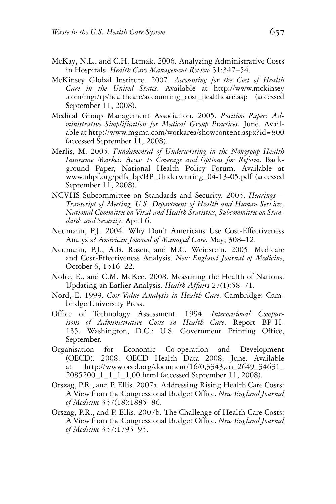- McKay, N.L., and C.H. Lemak. 2006. Analyzing Administrative Costs in Hospitals. *Health Care Management Review* 31:347–54.
- McKinsey Global Institute. 2007. *Accounting for the Cost of Health Care in the United States*. Available at http://www.mckinsey .com/mgi/rp/healthcare/accounting\_cost\_healthcare.asp (accessed September 11, 2008).
- Medical Group Management Association. 2005. *Position Paper: Administrative Simplification for Medical Group Practices.* June. Available at http://www.mgma.com/workarea/showcontent.aspx?id=800 (accessed September 11, 2008).
- Merlis, M. 2005. *Fundamental of Underwriting in the Nongroup Health Insurance Market: Access to Coverage and Options for Reform*. Background Paper, National Health Policy Forum. Available at www.nhpf.org/pdfs\_bp/BP\_Underwriting\_04-13-05.pdf (accessed September 11, 2008).
- NCVHS Subcommittee on Standards and Security. 2005. *Hearings— Transcript of Meeting, U.S. Department of Health and Human Services, National Committee on Vital and Health Statistics, Subcommittee on Standards and Security*. April 6.
- Neumann, P.J. 2004. Why Don't Americans Use Cost-Effectiveness Analysis? *American Journal of Managed Care*, May, 308–12.
- Neumann, P.J., A.B. Rosen, and M.C. Weinstein. 2005. Medicare and Cost-Effectiveness Analysis. *New England Journal of Medicine*, October 6, 1516–22.
- Nolte, E., and C.M. McKee. 2008. Measuring the Health of Nations: Updating an Earlier Analysis. *Health Affairs* 27(1):58–71.
- Nord, E. 1999. *Cost-Value Analysis in Health Care*. Cambridge: Cambridge University Press.
- Office of Technology Assessment. 1994. *International Comparisons of Administrative Costs in Health Care*. Report BP-H-135. Washington, D.C.: U.S. Government Printing Office, September.
- Organisation for Economic Co-operation and Development (OECD). 2008. OECD Health Data 2008. June. Available at http://www.oecd.org/document/16/0,3343,en\_2649\_34631\_ 2085200\_1\_1\_1\_1,00.html (accessed September 11, 2008).
- Orszag, P.R., and P. Ellis. 2007a. Addressing Rising Health Care Costs: A View from the Congressional Budget Office. *New England Journal of Medicine* 357(18):1885–86.
- Orszag, P.R., and P. Ellis. 2007b. The Challenge of Health Care Costs: A View from the Congressional Budget Office. *New England Journal of Medicine* 357:1793–95.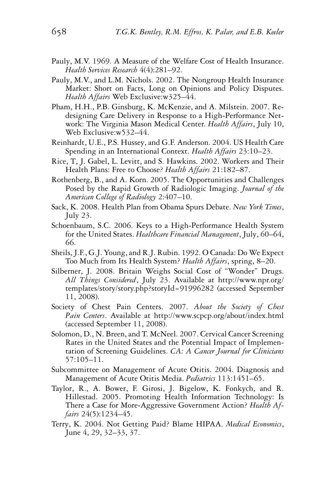- Pauly, M.V. 1969. A Measure of the Welfare Cost of Health Insurance. *Health Services Research* 4(4):281–92.
- Pauly, M.V., and L.M. Nichols. 2002. The Nongroup Health Insurance Market: Short on Facts, Long on Opinions and Policy Disputes. *Health Affairs* Web Exclusive:w325–44.
- Pham, H.H., P.B. Ginsburg, K. McKenzie, and A. Milstein. 2007. Redesigning Care Delivery in Response to a High-Performance Network: The Virginia Mason Medical Center. *Health Affairs*, July 10, Web Exclusive:w532–44.
- Reinhardt, U.E., P.S. Hussey, and G.F. Anderson. 2004. US Health Care Spending in an International Context. *Health Affairs* 23:10–23.
- Rice, T, J. Gabel, L. Levitt, and S. Hawkins. 2002. Workers and Their Health Plans: Free to Choose? *Health Affairs* 21:182–87.
- Rothenberg, B., and A. Korn. 2005. The Opportunities and Challenges Posed by the Rapid Growth of Radiologic Imaging. *Journal of the American College of Radiology* 2:407–10.
- Sack, K. 2008. Health Plan from Obama Spurs Debate. *New York Times*, July 23.
- Schoenbaum, S.C. 2006. Keys to a High-Performance Health System for the United States. *Healthcare Financial Management*, July, 60–64, 66.
- Sheils, J.F., G.J. Young, and R.J. Rubin. 1992. O Canada: Do We Expect Too Much from Its Health System? *Health Affairs*, spring, 8–20.
- Silberner, J. 2008. Britain Weighs Social Cost of "Wonder" Drugs. *All Things Considered*, July 23. Available at http://www.npr.org/ templates/story/story.php?storyId=91996282 (accessed September 11, 2008).
- Society of Chest Pain Centers. 2007. *About the Society of Chest Pain Centers*. Available at http://www.scpcp.org/about/index.html (accessed September 11, 2008).
- Solomon, D., N. Breen, and T. McNeel. 2007. Cervical Cancer Screening Rates in the United States and the Potential Impact of Implementation of Screening Guidelines. *CA: A Cancer Journal for Clinicians* 57:105–11.
- Subcommittee on Management of Acute Otitis. 2004. Diagnosis and Management of Acute Otitis Media. *Pediatrics* 113:1451–65.
- Taylor, R., A. Bower, F. Girosi, J. Bigelow, K. Fonkych, and R. Hillestad. 2005. Promoting Health Information Technology: Is There a Case for More-Aggressive Government Action? *Health Affairs* 24(5):1234–45.
- Terry, K. 2004. Not Getting Paid? Blame HIPAA. *Medical Economics*, June 4, 29, 32–33, 37.